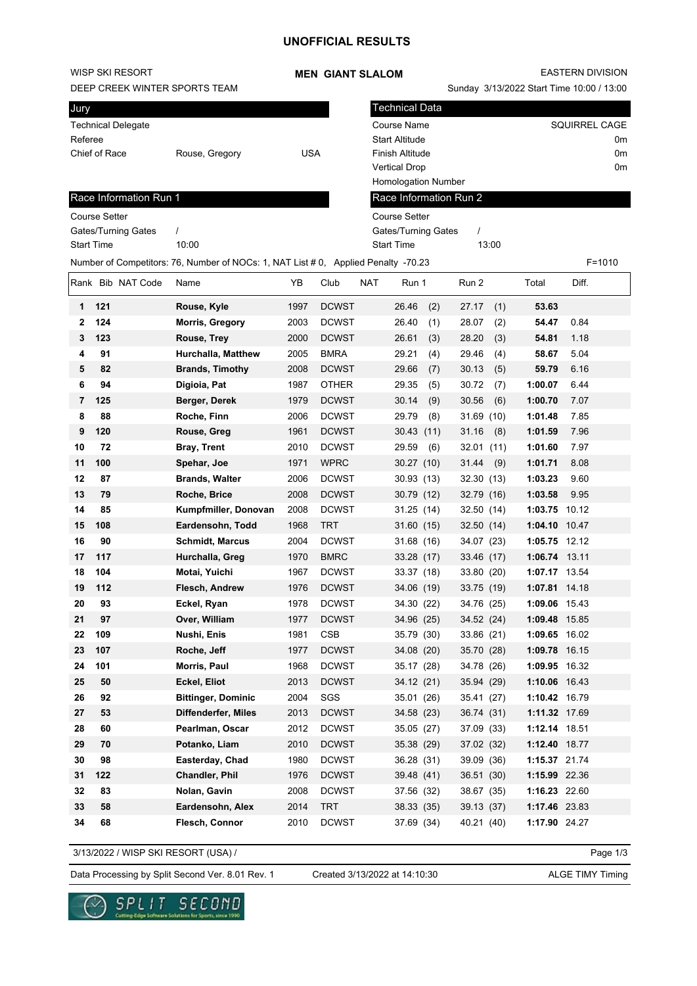## WISP SKI RESORT

DEEP CREEK WINTER SPORTS TEAM

#### **MEN GIANT SLALOM**

Technical Data

Homologation Number

EASTERN DIVISION

Sunday 3/13/2022 Start Time 10:00 / 13:00

Course Name SQUIRREL CAGE Start Altitude 0m Finish Altitude 0m Vertical Drop 0m

| Jury               |                |     |
|--------------------|----------------|-----|
| Technical Delegate |                |     |
| Referee            |                |     |
| Chief of Race      | Rouse, Gregory | USA |
|                    |                |     |

|                | Race Information Run 1                                                                           |                                                    |      |                    | Race Information Run 2 |              |               |       |  |  |  |  |
|----------------|--------------------------------------------------------------------------------------------------|----------------------------------------------------|------|--------------------|------------------------|--------------|---------------|-------|--|--|--|--|
|                | <b>Course Setter</b>                                                                             | <b>Course Setter</b>                               |      |                    |                        |              |               |       |  |  |  |  |
|                | Gates/Turning Gates                                                                              | <b>Gates/Turning Gates</b><br>$\prime$<br>$\prime$ |      |                    |                        |              |               |       |  |  |  |  |
|                | <b>Start Time</b>                                                                                | 10:00<br><b>Start Time</b><br>13:00                |      |                    |                        |              |               |       |  |  |  |  |
|                | Number of Competitors: 76, Number of NOCs: 1, NAT List # 0, Applied Penalty -70.23<br>$F = 1010$ |                                                    |      |                    |                        |              |               |       |  |  |  |  |
|                | Rank Bib NAT Code                                                                                | Name                                               | YB   | <b>NAT</b><br>Club | Run 1                  | Run 2        | Total         | Diff. |  |  |  |  |
| 1              | 121                                                                                              | Rouse, Kyle                                        | 1997 | <b>DCWST</b>       | 26.46<br>(2)           | 27.17<br>(1) | 53.63         |       |  |  |  |  |
| 2              | 124                                                                                              | <b>Morris, Gregory</b>                             | 2003 | <b>DCWST</b>       | 26.40<br>(1)           | 28.07<br>(2) | 54.47         | 0.84  |  |  |  |  |
| 3              | 123                                                                                              | Rouse, Trey                                        | 2000 | <b>DCWST</b>       | 26.61<br>(3)           | 28.20<br>(3) | 54.81         | 1.18  |  |  |  |  |
| 4              | 91                                                                                               | Hurchalla, Matthew                                 | 2005 | <b>BMRA</b>        | 29.21<br>(4)           | 29.46<br>(4) | 58.67         | 5.04  |  |  |  |  |
| 5              | 82                                                                                               | <b>Brands, Timothy</b>                             | 2008 | <b>DCWST</b>       | 29.66<br>(7)           | 30.13<br>(5) | 59.79         | 6.16  |  |  |  |  |
| 6              | 94                                                                                               | Digioia, Pat                                       | 1987 | <b>OTHER</b>       | 29.35<br>(5)           | 30.72<br>(7) | 1:00.07       | 6.44  |  |  |  |  |
| $\overline{7}$ | 125                                                                                              | Berger, Derek                                      | 1979 | <b>DCWST</b>       | 30.14<br>(9)           | 30.56<br>(6) | 1:00.70       | 7.07  |  |  |  |  |
| 8              | 88                                                                                               | Roche, Finn                                        | 2006 | <b>DCWST</b>       | 29.79<br>(8)           | 31.69 (10)   | 1:01.48       | 7.85  |  |  |  |  |
| 9              | 120                                                                                              | Rouse, Greg                                        | 1961 | <b>DCWST</b>       | 30.43 (11)             | 31.16<br>(8) | 1:01.59       | 7.96  |  |  |  |  |
| 10             | 72                                                                                               | <b>Bray, Trent</b>                                 | 2010 | <b>DCWST</b>       | 29.59<br>(6)           | 32.01 (11)   | 1:01.60       | 7.97  |  |  |  |  |
| 11             | 100                                                                                              | Spehar, Joe                                        | 1971 | <b>WPRC</b>        | 30.27(10)              | 31.44<br>(9) | 1:01.71       | 8.08  |  |  |  |  |
| 12             | 87                                                                                               | <b>Brands, Walter</b>                              | 2006 | <b>DCWST</b>       | 30.93(13)              | 32.30 (13)   | 1:03.23       | 9.60  |  |  |  |  |
| 13             | 79                                                                                               | Roche, Brice                                       | 2008 | <b>DCWST</b>       | 30.79 (12)             | 32.79 (16)   | 1:03.58       | 9.95  |  |  |  |  |
| 14             | 85                                                                                               | Kumpfmiller, Donovan                               | 2008 | <b>DCWST</b>       | 31.25(14)              | 32.50 (14)   | 1:03.75 10.12 |       |  |  |  |  |
| 15             | 108                                                                                              | Eardensohn, Todd                                   | 1968 | <b>TRT</b>         | 31.60(15)              | 32.50 (14)   | 1:04.10 10.47 |       |  |  |  |  |
| 16             | 90                                                                                               | <b>Schmidt, Marcus</b>                             | 2004 | <b>DCWST</b>       | 31.68 (16)             | 34.07 (23)   | 1:05.75 12.12 |       |  |  |  |  |
| 17             | 117                                                                                              | Hurchalla, Greg                                    | 1970 | <b>BMRC</b>        | 33.28 (17)             | 33.46 (17)   | 1:06.74 13.11 |       |  |  |  |  |
| 18             | 104                                                                                              | Motai, Yuichi                                      | 1967 | <b>DCWST</b>       | 33.37 (18)             | 33.80 (20)   | 1:07.17 13.54 |       |  |  |  |  |
| 19             | 112                                                                                              | Flesch, Andrew                                     | 1976 | <b>DCWST</b>       | 34.06 (19)             | 33.75 (19)   | 1:07.81 14.18 |       |  |  |  |  |
| 20             | 93                                                                                               | Eckel, Ryan                                        | 1978 | <b>DCWST</b>       | 34.30 (22)             | 34.76 (25)   | 1:09.06 15.43 |       |  |  |  |  |
| 21             | 97                                                                                               | Over, William                                      | 1977 | <b>DCWST</b>       | 34.96 (25)             | 34.52 (24)   | 1:09.48 15.85 |       |  |  |  |  |
| 22             | 109                                                                                              | Nushi, Enis                                        | 1981 | <b>CSB</b>         | 35.79 (30)             | 33.86 (21)   | 1:09.65 16.02 |       |  |  |  |  |
| 23             | 107                                                                                              | Roche, Jeff                                        | 1977 | <b>DCWST</b>       | 34.08 (20)             | 35.70 (28)   | 1:09.78 16.15 |       |  |  |  |  |
| 24             | 101                                                                                              | Morris, Paul                                       | 1968 | <b>DCWST</b>       | 35.17 (28)             | 34.78 (26)   | 1:09.95 16.32 |       |  |  |  |  |
| 25             | 50                                                                                               | Eckel, Eliot                                       | 2013 | <b>DCWST</b>       | 34.12 (21)             | 35.94 (29)   | 1:10.06 16.43 |       |  |  |  |  |
| 26             | 92                                                                                               | <b>Bittinger, Dominic</b>                          | 2004 | SGS                | 35.01 (26)             | 35.41 (27)   | 1:10.42 16.79 |       |  |  |  |  |
| 27             | 53                                                                                               | Diffenderfer, Miles                                | 2013 | <b>DCWST</b>       | 34.58 (23)             | 36.74 (31)   | 1:11.32 17.69 |       |  |  |  |  |
| 28             | 60                                                                                               | Pearlman, Oscar                                    | 2012 | <b>DCWST</b>       | 35.05(27)              | 37.09 (33)   | 1:12.14 18.51 |       |  |  |  |  |
| 29             | 70                                                                                               | Potanko, Liam                                      | 2010 | <b>DCWST</b>       | 35.38 (29)             | 37.02 (32)   | 1:12.40 18.77 |       |  |  |  |  |
| 30             | 98                                                                                               | Easterday, Chad                                    | 1980 | <b>DCWST</b>       | 36.28 (31)             | 39.09 (36)   | 1:15.37 21.74 |       |  |  |  |  |
| 31             | 122                                                                                              | Chandler, Phil                                     | 1976 | <b>DCWST</b>       | 39.48 (41)             | 36.51 (30)   | 1:15.99 22.36 |       |  |  |  |  |
| 32             | 83                                                                                               | Nolan, Gavin                                       | 2008 | <b>DCWST</b>       | 37.56 (32)             | 38.67 (35)   | 1:16.23 22.60 |       |  |  |  |  |
| 33             | 58                                                                                               | Eardensohn, Alex                                   | 2014 | <b>TRT</b>         | 38.33 (35)             | 39.13 (37)   | 1:17.46 23.83 |       |  |  |  |  |
| 34             | 68                                                                                               | Flesch, Connor                                     | 2010 | <b>DCWST</b>       | 37.69 (34)             | 40.21 (40)   | 1:17.90 24.27 |       |  |  |  |  |

3/13/2022 / WISP SKI RESORT (USA) /

Page 1/3

Data Processing by Split Second Ver. 8.01 Rev. 1 Created 3/13/2022 at 14:10:30 ALGE TIMY Timing

Created 3/13/2022 at 14:10:30

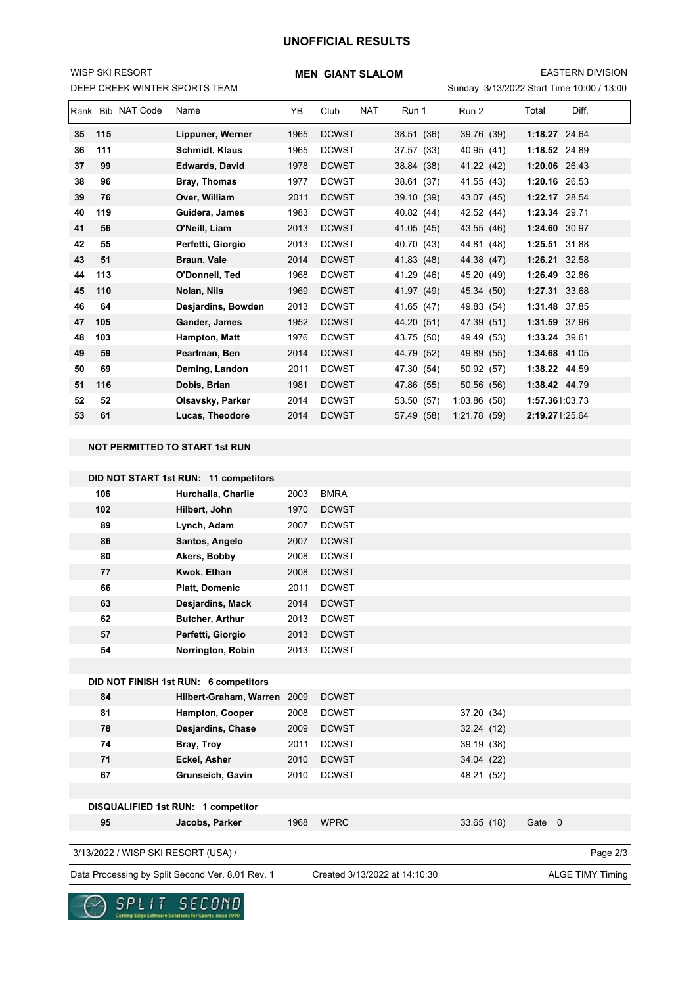## **UNOFFICIAL RESULTS**

### DEEP CREEK WINTER SPORTS TEAM WISP SKI RESORT

### **MEN GIANT SLALOM**

EASTERN DIVISION

| Rank | <b>Bib NAT Code</b> | Name                  | YB   | Club         | <b>NAT</b> | Run 1      | Run 2        | Total          | Diff. |
|------|---------------------|-----------------------|------|--------------|------------|------------|--------------|----------------|-------|
| 35   | 115                 | Lippuner, Werner      | 1965 | <b>DCWST</b> |            | 38.51 (36) | 39.76 (39)   | 1:18.27 24.64  |       |
| 36   | 111                 | <b>Schmidt, Klaus</b> | 1965 | <b>DCWST</b> |            | 37.57 (33) | 40.95 (41)   | 1:18.52        | 24.89 |
| 37   | 99                  | <b>Edwards, David</b> | 1978 | <b>DCWST</b> |            | 38.84 (38) | 41.22 (42)   | 1:20.06 26.43  |       |
| 38   | 96                  | Bray, Thomas          | 1977 | <b>DCWST</b> |            | 38.61 (37) | 41.55 (43)   | 1:20.16 26.53  |       |
| 39   | 76                  | Over. William         | 2011 | <b>DCWST</b> |            | 39.10(39)  | 43.07 (45)   | 1:22.17 28.54  |       |
| 40   | 119                 | Guidera, James        | 1983 | <b>DCWST</b> |            | 40.82 (44) | 42.52 (44)   | 1:23.34 29.71  |       |
| 41   | 56                  | O'Neill, Liam         | 2013 | <b>DCWST</b> |            | 41.05 (45) | 43.55 (46)   | 1:24.60 30.97  |       |
| 42   | 55                  | Perfetti, Giorgio     | 2013 | <b>DCWST</b> |            | 40.70 (43) | 44.81 (48)   | 1:25.51 31.88  |       |
| 43   | 51                  | Braun, Vale           | 2014 | <b>DCWST</b> |            | 41.83 (48) | 44.38 (47)   | 1:26.21        | 32.58 |
| 44   | 113                 | O'Donnell, Ted        | 1968 | <b>DCWST</b> |            | 41.29 (46) | 45.20 (49)   | 1:26.49 32.86  |       |
| 45   | 110                 | Nolan, Nils           | 1969 | <b>DCWST</b> |            | 41.97 (49) | 45.34 (50)   | 1:27.31 33.68  |       |
| 46   | 64                  | Desjardins, Bowden    | 2013 | <b>DCWST</b> |            | 41.65 (47) | 49.83 (54)   | 1:31.48 37.85  |       |
| 47   | 105                 | Gander, James         | 1952 | <b>DCWST</b> |            | 44.20 (51) | 47.39 (51)   | 1:31.59 37.96  |       |
| 48   | 103                 | Hampton, Matt         | 1976 | <b>DCWST</b> |            | 43.75 (50) | 49.49 (53)   | 1:33.24 39.61  |       |
| 49   | 59                  | Pearlman, Ben         | 2014 | <b>DCWST</b> |            | 44.79 (52) | 49.89 (55)   | 1:34.68 41.05  |       |
| 50   | 69                  | Deming, Landon        | 2011 | <b>DCWST</b> |            | 47.30 (54) | 50.92 (57)   | 1:38.22 44.59  |       |
| 51   | 116                 | Dobis, Brian          | 1981 | <b>DCWST</b> |            | 47.86 (55) | 50.56 (56)   | 1:38.42 44.79  |       |
| 52   | 52                  | Olsavsky, Parker      | 2014 | <b>DCWST</b> |            | 53.50 (57) | 1:03.86(58)  | 1:57.361:03.73 |       |
| 53   | 61                  | Lucas, Theodore       | 2014 | <b>DCWST</b> |            | 57.49 (58) | 1:21.78 (59) | 2:19.271:25.64 |       |

#### **NOT PERMITTED TO START 1st RUN**

|                                     | DID NOT START 1st RUN: 11 competitors            |      |                               |            |        |                         |
|-------------------------------------|--------------------------------------------------|------|-------------------------------|------------|--------|-------------------------|
| 106                                 | Hurchalla, Charlie                               | 2003 | <b>BMRA</b>                   |            |        |                         |
| 102                                 | Hilbert, John                                    | 1970 | <b>DCWST</b>                  |            |        |                         |
| 89                                  | Lynch, Adam                                      | 2007 | <b>DCWST</b>                  |            |        |                         |
| 86                                  | Santos, Angelo                                   | 2007 | <b>DCWST</b>                  |            |        |                         |
| 80                                  | Akers, Bobby                                     | 2008 | <b>DCWST</b>                  |            |        |                         |
| 77                                  | Kwok, Ethan                                      | 2008 | <b>DCWST</b>                  |            |        |                         |
| 66                                  | <b>Platt, Domenic</b>                            | 2011 | <b>DCWST</b>                  |            |        |                         |
| 63                                  | Desjardins, Mack                                 | 2014 | <b>DCWST</b>                  |            |        |                         |
| 62                                  | <b>Butcher, Arthur</b>                           | 2013 | <b>DCWST</b>                  |            |        |                         |
| 57                                  | Perfetti, Giorgio                                | 2013 | <b>DCWST</b>                  |            |        |                         |
| 54                                  | Norrington, Robin                                | 2013 | <b>DCWST</b>                  |            |        |                         |
|                                     |                                                  |      |                               |            |        |                         |
|                                     | DID NOT FINISH 1st RUN: 6 competitors            |      |                               |            |        |                         |
| 84                                  | Hilbert-Graham, Warren                           | 2009 | <b>DCWST</b>                  |            |        |                         |
| 81                                  | Hampton, Cooper                                  | 2008 | <b>DCWST</b>                  | 37.20 (34) |        |                         |
| 78                                  | <b>Desjardins, Chase</b>                         | 2009 | <b>DCWST</b>                  | 32.24 (12) |        |                         |
| 74                                  | Bray, Troy                                       | 2011 | <b>DCWST</b>                  | 39.19 (38) |        |                         |
| 71                                  | Eckel, Asher                                     | 2010 | <b>DCWST</b>                  | 34.04 (22) |        |                         |
| 67                                  | Grunseich, Gavin                                 | 2010 | <b>DCWST</b>                  | 48.21 (52) |        |                         |
|                                     |                                                  |      |                               |            |        |                         |
|                                     | DISQUALIFIED 1st RUN: 1 competitor               |      |                               |            |        |                         |
| 95                                  | Jacobs, Parker                                   | 1968 | <b>WPRC</b>                   | 33.65(18)  | Gate 0 |                         |
|                                     |                                                  |      |                               |            |        |                         |
| 3/13/2022 / WISP SKI RESORT (USA) / |                                                  |      |                               |            |        | Page 2/3                |
|                                     | Data Processing by Split Second Ver. 8.01 Rev. 1 |      | Created 3/13/2022 at 14:10:30 |            |        | <b>ALGE TIMY Timing</b> |